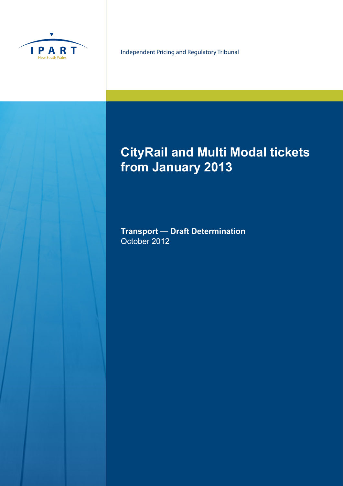

Independent Pricing and Regulatory Tribunal

# **CityRail and Multi Modal tickets from January 2013**

**Transport — Draft Determination** October 2012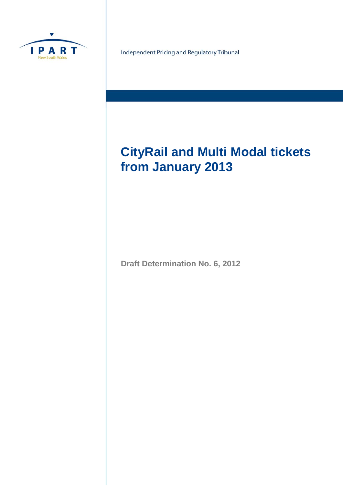

Independent Pricing and Regulatory Tribunal

# **CityRail and Multi Modal tickets from January 2013**

**Draft Determination No. 6, 2012**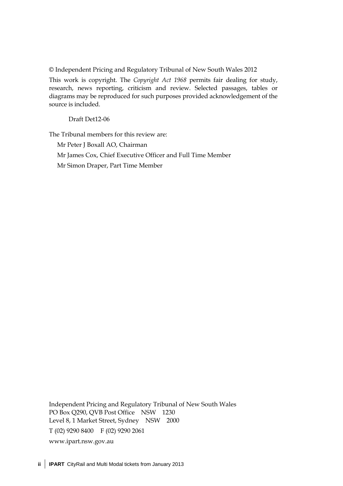© Independent Pricing and Regulatory Tribunal of New South Wales 2012

This work is copyright. The *Copyright Act 1968* permits fair dealing for study, research, news reporting, criticism and review. Selected passages, tables or diagrams may be reproduced for such purposes provided acknowledgement of the source is included.

Draft Det12-06

The Tribunal members for this review are:

Mr Peter J Boxall AO, Chairman Mr James Cox, Chief Executive Officer and Full Time Member

Mr Simon Draper, Part Time Member

Independent Pricing and Regulatory Tribunal of New South Wales PO Box Q290, QVB Post Office NSW 1230 Level 8, 1 Market Street, Sydney NSW 2000 T (02) 9290 8400 F (02) 9290 2061 www.ipart.nsw.gov.au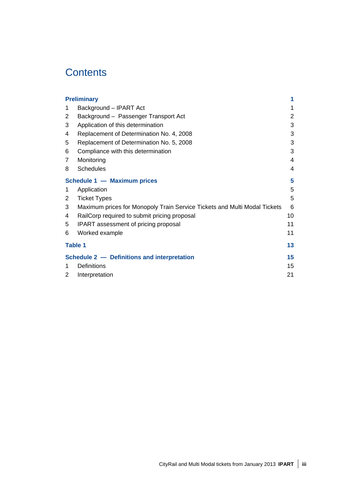## **Contents**

|                                         | <b>Preliminary</b>                                                        |                |
|-----------------------------------------|---------------------------------------------------------------------------|----------------|
| 1                                       | Background - IPART Act                                                    | 1              |
| 2                                       | Background - Passenger Transport Act                                      | $\overline{2}$ |
| 3                                       | Application of this determination                                         | 3              |
| 4                                       | Replacement of Determination No. 4, 2008                                  | 3              |
| 5                                       | Replacement of Determination No. 5, 2008                                  | 3              |
| 6                                       | Compliance with this determination                                        | 3              |
| 7                                       | Monitoring                                                                | $\overline{4}$ |
| 8                                       | <b>Schedules</b>                                                          | 4              |
| <b>Schedule 1 - Maximum prices</b><br>5 |                                                                           |                |
| 1                                       | Application                                                               | 5              |
| 2                                       | <b>Ticket Types</b>                                                       | 5              |
| 3                                       | Maximum prices for Monopoly Train Service Tickets and Multi Modal Tickets | 6              |
| 4                                       | RailCorp required to submit pricing proposal                              | 10             |
| 5                                       | IPART assessment of pricing proposal                                      | 11             |
| 6                                       | Worked example                                                            | 11             |
| <b>Table 1</b>                          |                                                                           | 13             |
|                                         | Schedule 2 - Definitions and interpretation                               | 15             |
| 1                                       | <b>Definitions</b>                                                        | 15             |
| 2                                       | Interpretation                                                            | 21             |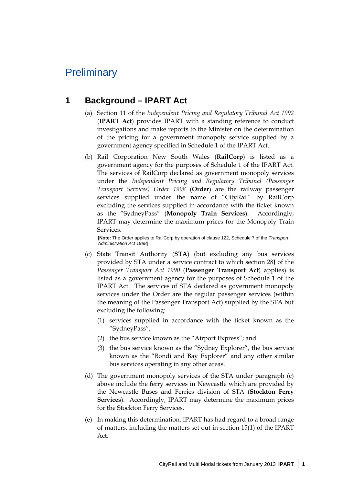## **Preliminary**

### **1 Background – IPART Act**

- (a) Section 11 of the *Independent Pricing and Regulatory Tribunal Act 1992*  (**IPART Act**) provides IPART with a standing reference to conduct investigations and make reports to the Minister on the determination of the pricing for a government monopoly service supplied by a government agency specified in Schedule 1 of the IPART Act.
- (b) Rail Corporation New South Wales (**RailCorp**) is listed as a government agency for the purposes of Schedule 1 of the IPART Act. The services of RailCorp declared as government monopoly services under the *Independent Pricing and Regulatory Tribunal (Passenger Transport Services) Order 1998* (**Order**) are the railway passenger services supplied under the name of "CityRail" by RailCorp excluding the services supplied in accordance with the ticket known as the "SydneyPass" (**Monopoly Train Services**). Accordingly, IPART may determine the maximum prices for the Monopoly Train Services.

[**Note:** The Order applies to RailCorp by operation of clause 122, Schedule 7 of the *Transport Administration Act 1988*]

- (c) State Transit Authority (**STA**) (but excluding any bus services provided by STA under a service contract to which section 28J of the *Passenger Transport Act 1990* (**Passenger Transport Act**) applies) is listed as a government agency for the purposes of Schedule 1 of the IPART Act. The services of STA declared as government monopoly services under the Order are the regular passenger services (within the meaning of the Passenger Transport Act) supplied by the STA but excluding the following:
	- (1) services supplied in accordance with the ticket known as the "SydneyPass";
	- (2) the bus service known as the "Airport Express"; and
	- (3) the bus service known as the "Sydney Explorer", the bus service known as the "Bondi and Bay Explorer" and any other similar bus services operating in any other areas.
- (d) The government monopoly services of the STA under paragraph (c) above include the ferry services in Newcastle which are provided by the Newcastle Buses and Ferries division of STA (**Stockton Ferry Services**). Accordingly, IPART may determine the maximum prices for the Stockton Ferry Services.
- (e) In making this determination, IPART has had regard to a broad range of matters, including the matters set out in section 15(1) of the IPART Act.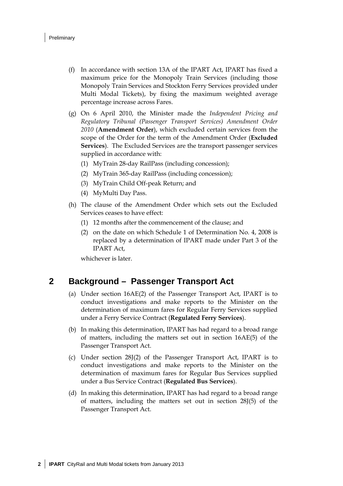- (f) In accordance with section 13A of the IPART Act, IPART has fixed a maximum price for the Monopoly Train Services (including those Monopoly Train Services and Stockton Ferry Services provided under Multi Modal Tickets), by fixing the maximum weighted average percentage increase across Fares.
- (g) On 6 April 2010, the Minister made the *Independent Pricing and Regulatory Tribunal (Passenger Transport Services) Amendment Order 2010* (**Amendment Order**), which excluded certain services from the scope of the Order for the term of the Amendment Order (**Excluded Services**). The Excluded Services are the transport passenger services supplied in accordance with:
	- (1) MyTrain 28-day RailPass (including concession);
	- (2) MyTrain 365-day RailPass (including concession);
	- (3) MyTrain Child Off-peak Return; and
	- (4) MyMulti Day Pass.
- (h) The clause of the Amendment Order which sets out the Excluded Services ceases to have effect:
	- (1) 12 months after the commencement of the clause; and
	- (2) on the date on which Schedule 1 of Determination No. 4, 2008 is replaced by a determination of IPART made under Part 3 of the IPART Act,

whichever is later.

#### **2 Background – Passenger Transport Act**

- (a) Under section 16AE(2) of the Passenger Transport Act, IPART is to conduct investigations and make reports to the Minister on the determination of maximum fares for Regular Ferry Services supplied under a Ferry Service Contract (**Regulated Ferry Services**).
- (b) In making this determination, IPART has had regard to a broad range of matters, including the matters set out in section 16AE(5) of the Passenger Transport Act.
- (c) Under section 28J(2) of the Passenger Transport Act, IPART is to conduct investigations and make reports to the Minister on the determination of maximum fares for Regular Bus Services supplied under a Bus Service Contract (**Regulated Bus Services**).
- (d) In making this determination, IPART has had regard to a broad range of matters, including the matters set out in section 28J(5) of the Passenger Transport Act.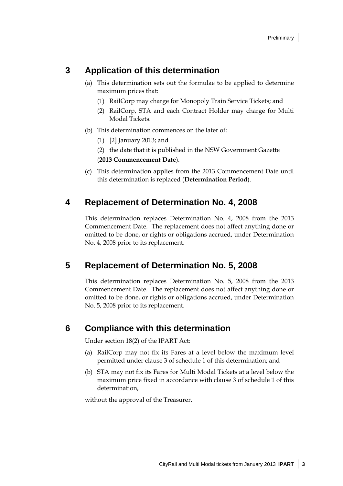### **3 Application of this determination**

- (a) This determination sets out the formulae to be applied to determine maximum prices that:
	- (1) RailCorp may charge for Monopoly Train Service Tickets; and
	- (2) RailCorp, STA and each Contract Holder may charge for Multi Modal Tickets.
- (b) This determination commences on the later of:
	- (1) [2] January 2013; and
	- (2) the date that it is published in the NSW Government Gazette

(**2013 Commencement Date**).

(c) This determination applies from the 2013 Commencement Date until this determination is replaced (**Determination Period**).

### **4 Replacement of Determination No. 4, 2008**

This determination replaces Determination No. 4, 2008 from the 2013 Commencement Date. The replacement does not affect anything done or omitted to be done, or rights or obligations accrued, under Determination No. 4, 2008 prior to its replacement.

### **5 Replacement of Determination No. 5, 2008**

This determination replaces Determination No. 5, 2008 from the 2013 Commencement Date. The replacement does not affect anything done or omitted to be done, or rights or obligations accrued, under Determination No. 5, 2008 prior to its replacement.

#### **6 Compliance with this determination**

Under section 18(2) of the IPART Act:

- (a) RailCorp may not fix its Fares at a level below the maximum level permitted under clause 3 of schedule 1 of this determination; and
- (b) STA may not fix its Fares for Multi Modal Tickets at a level below the maximum price fixed in accordance with clause 3 of schedule 1 of this determination,

without the approval of the Treasurer.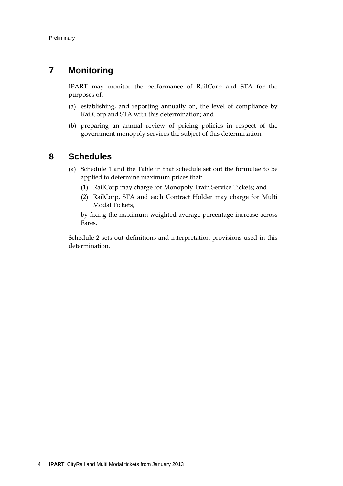### **7 Monitoring**

IPART may monitor the performance of RailCorp and STA for the purposes of:

- (a) establishing, and reporting annually on, the level of compliance by RailCorp and STA with this determination; and
- (b) preparing an annual review of pricing policies in respect of the government monopoly services the subject of this determination.

#### **8 Schedules**

- (a) Schedule 1 and the Table in that schedule set out the formulae to be applied to determine maximum prices that:
	- (1) RailCorp may charge for Monopoly Train Service Tickets; and
	- (2) RailCorp, STA and each Contract Holder may charge for Multi Modal Tickets,

by fixing the maximum weighted average percentage increase across Fares.

Schedule 2 sets out definitions and interpretation provisions used in this determination.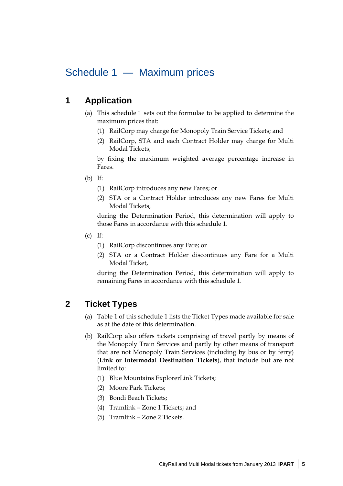## Schedule 1 — Maximum prices

### **1 Application**

- (a) This schedule 1 sets out the formulae to be applied to determine the maximum prices that:
	- (1) RailCorp may charge for Monopoly Train Service Tickets; and
	- (2) RailCorp, STA and each Contract Holder may charge for Multi Modal Tickets,

by fixing the maximum weighted average percentage increase in Fares.

- (b) If:
	- (1) RailCorp introduces any new Fares; or
	- (2) STA or a Contract Holder introduces any new Fares for Multi Modal Tickets,

during the Determination Period, this determination will apply to those Fares in accordance with this schedule 1.

- (c) If:
	- (1) RailCorp discontinues any Fare; or
	- (2) STA or a Contract Holder discontinues any Fare for a Multi Modal Ticket,

during the Determination Period, this determination will apply to remaining Fares in accordance with this schedule 1.

### **2 Ticket Types**

- (a) Table 1 of this schedule 1 lists the Ticket Types made available for sale as at the date of this determination.
- (b) RailCorp also offers tickets comprising of travel partly by means of the Monopoly Train Services and partly by other means of transport that are not Monopoly Train Services (including by bus or by ferry) (**Link or Intermodal Destination Tickets**), that include but are not limited to:
	- (1) Blue Mountains ExplorerLink Tickets;
	- (2) Moore Park Tickets;
	- (3) Bondi Beach Tickets;
	- (4) Tramlink Zone 1 Tickets; and
	- (5) Tramlink Zone 2 Tickets.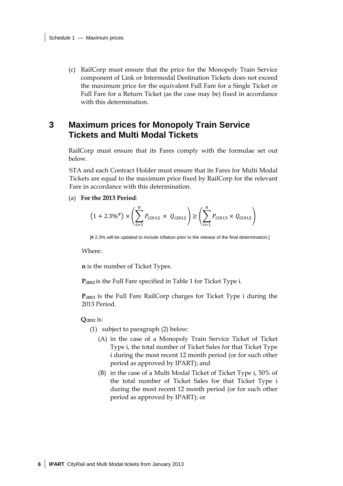(c) RailCorp must ensure that the price for the Monopoly Train Service component of Link or Intermodal Destination Tickets does not exceed the maximum price for the equivalent Full Fare for a Single Ticket or Full Fare for a Return Ticket (as the case may be) fixed in accordance with this determination.

#### **3 Maximum prices for Monopoly Train Service Tickets and Multi Modal Tickets**

RailCorp must ensure that its Fares comply with the formulae set out below.

STA and each Contract Holder must ensure that its Fares for Multi Modal Tickets are equal to the maximum price fixed by RailCorp for the relevant Fare in accordance with this determination.

(a) **For the 2013 Period**:

$$
(1 + 2.3\%^{\#}) \times \left(\sum_{i=1}^{n} P_{i2012} \times Q_{i2012}\right) \ge \left(\sum_{i=1}^{n} P_{i2013} \times Q_{i2012}\right)
$$

[**#** 2.3% will be updated to include inflation prior to the release of the final determination.]

Where:

**n** is the number of Ticket Types.

**P***i***2012** is the Full Fare specified in Table 1 for Ticket Type i.

**P***i***<sup>2013</sup>** is the Full Fare RailCorp charges for Ticket Type i during the 2013 Period.

**Q***i***2012** is:

- (1) subject to paragraph (2) below:
	- (A) in the case of a Monopoly Train Service Ticket of Ticket Type i, the total number of Ticket Sales for that Ticket Type i during the most recent 12 month period (or for such other period as approved by IPART); and
	- (B) in the case of a Multi Modal Ticket of Ticket Type i, 50% of the total number of Ticket Sales for that Ticket Type i during the most recent 12 month period (or for such other period as approved by IPART); or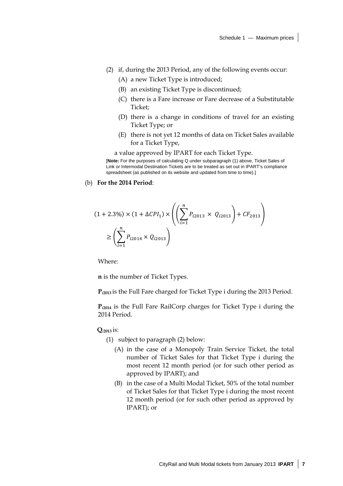- (2) if, during the 2013 Period, any of the following events occur:
	- (A) a new Ticket Type is introduced;
	- (B) an existing Ticket Type is discontinued;
	- (C) there is a Fare increase or Fare decrease of a Substitutable Ticket;
	- (D) there is a change in conditions of travel for an existing Ticket Type; or
	- (E) there is not yet 12 months of data on Ticket Sales available for a Ticket Type,

a value approved by IPART for each Ticket Type.

[**Note:** For the purposes of calculating Q under subparagraph (1) above, Ticket Sales of Link or Intermodal Destination Tickets are to be treated as set out in IPART's compliance spreadsheet (as published on its website and updated from time to time).]

#### (b) **For the 2014 Period**:

$$
(1 + 2.3\%) \times (1 + \Delta CPI_1) \times \left( \left( \sum_{i=1}^{n} P_{i2013} \times Q_{i2013} \right) + CF_{2013} \right)
$$

$$
\ge \left( \sum_{i=1}^{n} P_{i2014} \times Q_{i2013} \right)
$$

Where:

**n** is the number of Ticket Types.

**P***i***2013** is the Full Fare charged for Ticket Type i during the 2013 Period.

**P***i***<sup>2014</sup>** is the Full Fare RailCorp charges for Ticket Type i during the 2014 Period.

**Q***i***2013** is:

- (1) subject to paragraph (2) below:
	- (A) in the case of a Monopoly Train Service Ticket, the total number of Ticket Sales for that Ticket Type i during the most recent 12 month period (or for such other period as approved by IPART); and
	- (B) in the case of a Multi Modal Ticket, 50% of the total number of Ticket Sales for that Ticket Type i during the most recent 12 month period (or for such other period as approved by IPART); or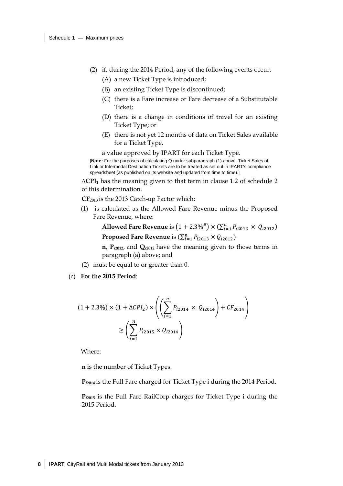- (2) if, during the 2014 Period, any of the following events occur:
	- (A) a new Ticket Type is introduced;
	- (B) an existing Ticket Type is discontinued;
	- (C) there is a Fare increase or Fare decrease of a Substitutable Ticket;
	- (D) there is a change in conditions of travel for an existing Ticket Type; or
	- (E) there is not yet 12 months of data on Ticket Sales available for a Ticket Type,

a value approved by IPART for each Ticket Type.

[**Note:** For the purposes of calculating Q under subparagraph (1) above, Ticket Sales of Link or Intermodal Destination Tickets are to be treated as set out in IPART's compliance spreadsheet (as published on its website and updated from time to time).]

**∆CPI1** has the meaning given to that term in clause 1.2 of schedule 2 of this determination.

**CF2013** is the 2013 Catch-up Factor which:

(1) is calculated as the Allowed Fare Revenue minus the Proposed Fare Revenue, where:

> **Allowed Fare Revenue** is  $(1 + 2.3\%^{\#}) \times (\sum_{i=1}^{n} P_{i2012} \times Q_{i2012})$ **Proposed Fare Revenue** is  $(\sum_{i=1}^{n} P_{i2013} \times Q_{i2012})$

> **n**, **P***i***2012**, and **Q***i***2012** have the meaning given to those terms in paragraph (a) above; and

- (2) must be equal to or greater than 0.
- (c) **For the 2015 Period**:

$$
(1 + 2.3\%) \times (1 + \Delta CPI_2) \times \left( \left( \sum_{i=1}^{n} P_{i2014} \times Q_{i2014} \right) + CF_{2014} \right)
$$

$$
\geq \left( \sum_{i=1}^{n} P_{i2015} \times Q_{i2014} \right)
$$

Where:

**n** is the number of Ticket Types.

**P***i***2014** is the Full Fare charged for Ticket Type i during the 2014 Period.

**P***i***<sup>2015</sup>** is the Full Fare RailCorp charges for Ticket Type i during the 2015 Period.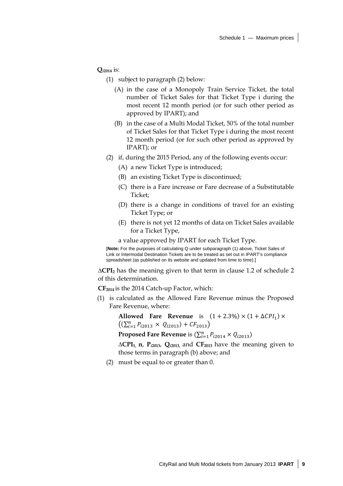**Q***i***2014** is:

(1) subject to paragraph (2) below:

- (A) in the case of a Monopoly Train Service Ticket, the total number of Ticket Sales for that Ticket Type i during the most recent 12 month period (or for such other period as approved by IPART); and
- (B) in the case of a Multi Modal Ticket, 50% of the total number of Ticket Sales for that Ticket Type i during the most recent 12 month period (or for such other period as approved by IPART); or
- (2) if, during the 2015 Period, any of the following events occur:
	- (A) a new Ticket Type is introduced;
	- (B) an existing Ticket Type is discontinued;
	- (C) there is a Fare increase or Fare decrease of a Substitutable Ticket;
	- (D) there is a change in conditions of travel for an existing Ticket Type; or
	- (E) there is not yet 12 months of data on Ticket Sales available for a Ticket Type,

a value approved by IPART for each Ticket Type.

[**Note:** For the purposes of calculating Q under subparagraph (1) above, Ticket Sales of Link or Intermodal Destination Tickets are to be treated as set out in IPART's compliance spreadsheet (as published on its website and updated from time to time).]

**∆CPI2** has the meaning given to that term in clause 1.2 of schedule 2 of this determination.

**CF2014** is the 2014 Catch-up Factor, which:

(1) is calculated as the Allowed Fare Revenue minus the Proposed Fare Revenue, where:

**Allowed Fare Revenue** is  $(1 + 2.3\%) \times (1 + \Delta CPI_1) \times$  $((\sum_{i=1}^{n} P_{i2013} \times Q_{i2013}) + CF_{2013})$ **Proposed Fare Revenue** is  $(\sum_{i=1}^{n} P_{i2014} \times Q_{i2013})$ 

**∆CPI1, n**, **P***i***2013**, **Q***i***2013,** and **CF2013** have the meaning given to those terms in paragraph (b) above; and

(2) must be equal to or greater than 0.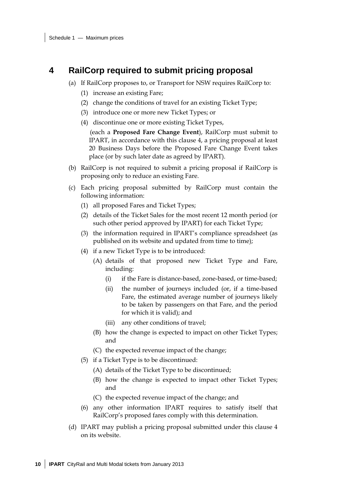### **4 RailCorp required to submit pricing proposal**

- (a) If RailCorp proposes to, or Transport for NSW requires RailCorp to:
	- (1) increase an existing Fare;
	- (2) change the conditions of travel for an existing Ticket Type;
	- (3) introduce one or more new Ticket Types; or
	- (4) discontinue one or more existing Ticket Types,

(each a **Proposed Fare Change Event**), RailCorp must submit to IPART, in accordance with this clause 4, a pricing proposal at least 20 Business Days before the Proposed Fare Change Event takes place (or by such later date as agreed by IPART).

- (b) RailCorp is not required to submit a pricing proposal if RailCorp is proposing only to reduce an existing Fare.
- (c) Each pricing proposal submitted by RailCorp must contain the following information:
	- (1) all proposed Fares and Ticket Types;
	- (2) details of the Ticket Sales for the most recent 12 month period (or such other period approved by IPART) for each Ticket Type;
	- (3) the information required in IPART's compliance spreadsheet (as published on its website and updated from time to time);
	- (4) if a new Ticket Type is to be introduced:
		- (A) details of that proposed new Ticket Type and Fare, including:
			- (i) if the Fare is distance-based, zone-based, or time-based;
			- (ii) the number of journeys included (or, if a time-based Fare, the estimated average number of journeys likely to be taken by passengers on that Fare, and the period for which it is valid); and
			- (iii) any other conditions of travel;
		- (B) how the change is expected to impact on other Ticket Types; and
		- (C) the expected revenue impact of the change;
	- (5) if a Ticket Type is to be discontinued:
		- (A) details of the Ticket Type to be discontinued;
		- (B) how the change is expected to impact other Ticket Types; and
		- (C) the expected revenue impact of the change; and
	- (6) any other information IPART requires to satisfy itself that RailCorp's proposed fares comply with this determination.
- (d) IPART may publish a pricing proposal submitted under this clause 4 on its website.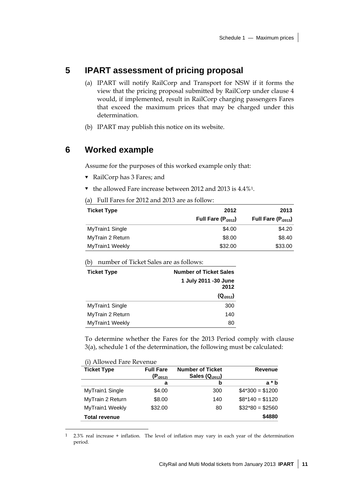### **5 IPART assessment of pricing proposal**

- (a) IPART will notify RailCorp and Transport for NSW if it forms the view that the pricing proposal submitted by RailCorp under clause 4 would, if implemented, result in RailCorp charging passengers Fares that exceed the maximum prices that may be charged under this determination.
- (b) IPART may publish this notice on its website.

### **6 Worked example**

Assume for the purposes of this worked example only that:

- RailCorp has 3 Fares; and
- $\blacktriangledown$  the allowed Fare increase between 2012 and 2013 is 4.4%<sup>1</sup>.

(a) Full Fares for 2012 and 2013 are as follow:

| <b>Ticket Type</b> | 2012                    | 2013                   |
|--------------------|-------------------------|------------------------|
|                    | Full Fare $(P_{12012})$ | Full Fare $(P_{2013})$ |
| MyTrain1 Single    | \$4.00                  | \$4.20                 |
| MyTrain 2 Return   | \$8.00                  | \$8.40                 |
| MyTrain1 Weekly    | \$32.00                 | \$33.00                |

(b) number of Ticket Sales are as follows:

| <b>Ticket Type</b>     | <b>Number of Ticket Sales</b> |  |
|------------------------|-------------------------------|--|
|                        | 1 July 2011 -30 June<br>2012  |  |
|                        | $(Q_{p012})$                  |  |
| <b>MyTrain1 Single</b> | 300                           |  |
| MyTrain 2 Return       | 140                           |  |
| MyTrain1 Weekly        | 80                            |  |

To determine whether the Fares for the 2013 Period comply with clause 3(a), schedule 1 of the determination, the following must be calculated:

#### (i) Allowed Fare Revenue

 $\overline{a}$ 

| <b>Ticket Type</b>   | <b>Full Fare</b><br>$(P_{i2012)}$ | <b>Number of Ticket</b><br>Sales $(Q_{i2012})$ | <b>Revenue</b>   |
|----------------------|-----------------------------------|------------------------------------------------|------------------|
|                      | a                                 | b                                              | $a * b$          |
| MyTrain1 Single      | \$4.00                            | 300                                            | $$4*300 = $1200$ |
| MyTrain 2 Return     | \$8.00                            | 140                                            | $$8*140 = $1120$ |
| MyTrain1 Weekly      | \$32.00                           | 80                                             | $$32*80 = $2560$ |
| <b>Total revenue</b> |                                   |                                                | \$4880           |

<sup>1 2.3%</sup> real increase + inflation. The level of inflation may vary in each year of the determination period.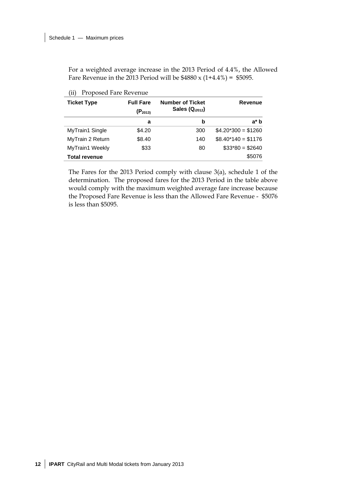For a weighted average increase in the 2013 Period of 4.4%, the Allowed Fare Revenue in the 2013 Period will be  $$4880 \times (1+4.4\%) = $5095$ .

| <b>Ticket Type</b>   | <b>Full Fare</b><br>$(P_{2013)}$ | <b>Number of Ticket</b><br>Sales $(Q_{i2012})$ | <b>Revenue</b>       |
|----------------------|----------------------------------|------------------------------------------------|----------------------|
|                      | a                                | b                                              | a* b                 |
| MyTrain1 Single      | \$4.20                           | 300                                            | $$4.20*300 = $1260$  |
| MyTrain 2 Return     | \$8.40                           | 140                                            | $$8.40^*140 = $1176$ |
| MyTrain1 Weekly      | \$33                             | 80                                             | $$33*80 = $2640$     |
| <b>Total revenue</b> |                                  |                                                | \$5076               |

(ii) Proposed Fare Revenue

The Fares for the 2013 Period comply with clause 3(a), schedule 1 of the determination. The proposed fares for the 2013 Period in the table above would comply with the maximum weighted average fare increase because the Proposed Fare Revenue is less than the Allowed Fare Revenue - \$5076 is less than \$5095.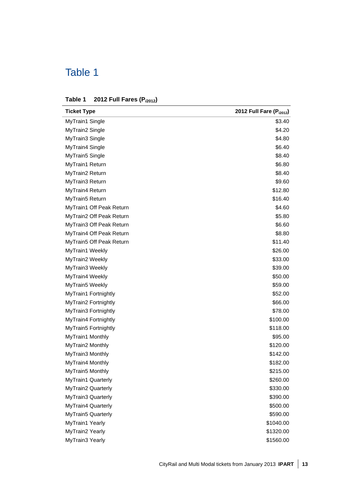## Table 1

| Table 1 2012 Full Fares $(P_{i2012})$ |
|---------------------------------------|
|                                       |

| <b>Ticket Type</b>       | 2012 Full Fare (P <sub>i2012</sub> ) |
|--------------------------|--------------------------------------|
| MyTrain1 Single          | \$3.40                               |
| MyTrain2 Single          | \$4.20                               |
| MyTrain3 Single          | \$4.80                               |
| MyTrain4 Single          | \$6.40                               |
| MyTrain5 Single          | \$8.40                               |
| MyTrain1 Return          | \$6.80                               |
| MyTrain2 Return          | \$8.40                               |
| MyTrain3 Return          | \$9.60                               |
| MyTrain4 Return          | \$12.80                              |
| MyTrain5 Return          | \$16.40                              |
| MyTrain1 Off Peak Return | \$4.60                               |
| MyTrain2 Off Peak Return | \$5.80                               |
| MyTrain3 Off Peak Return | \$6.60                               |
| MyTrain4 Off Peak Return | \$8.80                               |
| MyTrain5 Off Peak Return | \$11.40                              |
| MyTrain1 Weekly          | \$26.00                              |
| MyTrain2 Weekly          | \$33.00                              |
| MyTrain3 Weekly          | \$39.00                              |
| MyTrain4 Weekly          | \$50.00                              |
| MyTrain5 Weekly          | \$59.00                              |
| MyTrain1 Fortnightly     | \$52.00                              |
| MyTrain2 Fortnightly     | \$66.00                              |
| MyTrain3 Fortnightly     | \$78.00                              |
| MyTrain4 Fortnightly     | \$100.00                             |
| MyTrain5 Fortnightly     | \$118.00                             |
| MyTrain1 Monthly         | \$95.00                              |
| MyTrain2 Monthly         | \$120.00                             |
| MyTrain3 Monthly         | \$142.00                             |
| MyTrain4 Monthly         | \$182.00                             |
| MyTrain5 Monthly         | \$215.00                             |
| MyTrain1 Quarterly       | \$260.00                             |
| MyTrain2 Quarterly       | \$330.00                             |
| MyTrain3 Quarterly       | \$390.00                             |
| MyTrain4 Quarterly       | \$500.00                             |
| MyTrain5 Quarterly       | \$590.00                             |
| MyTrain1 Yearly          | \$1040.00                            |
| MyTrain2 Yearly          | \$1320.00                            |
| MyTrain3 Yearly          | \$1560.00                            |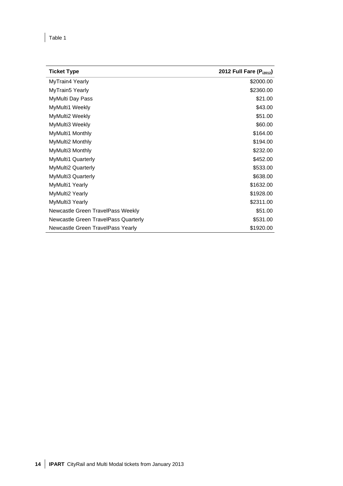Î.

| <b>Ticket Type</b>                   | 2012 Full Fare (P <sub>i2012</sub> ) |
|--------------------------------------|--------------------------------------|
| MyTrain4 Yearly                      | \$2000.00                            |
| MyTrain5 Yearly                      | \$2360.00                            |
| MyMulti Day Pass                     | \$21.00                              |
| MyMulti1 Weekly                      | \$43.00                              |
| MyMulti2 Weekly                      | \$51.00                              |
| MyMulti3 Weekly                      | \$60.00                              |
| MyMulti1 Monthly                     | \$164.00                             |
| MyMulti2 Monthly                     | \$194.00                             |
| MyMulti3 Monthly                     | \$232.00                             |
| <b>MyMulti1 Quarterly</b>            | \$452.00                             |
| <b>MyMulti2 Quarterly</b>            | \$533.00                             |
| MyMulti3 Quarterly                   | \$638.00                             |
| MyMulti1 Yearly                      | \$1632.00                            |
| MyMulti2 Yearly                      | \$1928.00                            |
| MyMulti3 Yearly                      | \$2311.00                            |
| Newcastle Green TravelPass Weekly    | \$51.00                              |
| Newcastle Green TravelPass Quarterly | \$531.00                             |
| Newcastle Green TravelPass Yearly    | \$1920.00                            |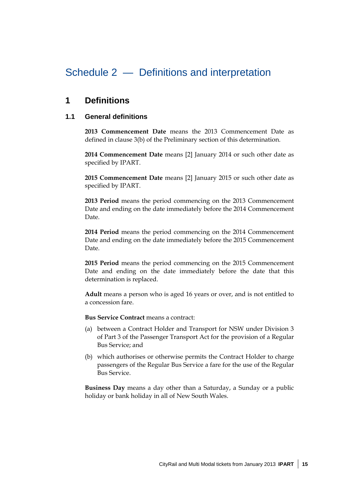## Schedule 2 — Definitions and interpretation

### **1 Definitions**

#### **1.1 General definitions**

**2013 Commencement Date** means the 2013 Commencement Date as defined in clause 3(b) of the Preliminary section of this determination.

**2014 Commencement Date** means [2] January 2014 or such other date as specified by IPART.

**2015 Commencement Date** means [2] January 2015 or such other date as specified by IPART.

**2013 Period** means the period commencing on the 2013 Commencement Date and ending on the date immediately before the 2014 Commencement Date.

**2014 Period** means the period commencing on the 2014 Commencement Date and ending on the date immediately before the 2015 Commencement Date.

**2015 Period** means the period commencing on the 2015 Commencement Date and ending on the date immediately before the date that this determination is replaced.

**Adult** means a person who is aged 16 years or over, and is not entitled to a concession fare.

**Bus Service Contract** means a contract:

- (a) between a Contract Holder and Transport for NSW under Division 3 of Part 3 of the Passenger Transport Act for the provision of a Regular Bus Service; and
- (b) which authorises or otherwise permits the Contract Holder to charge passengers of the Regular Bus Service a fare for the use of the Regular Bus Service.

**Business Day** means a day other than a Saturday, a Sunday or a public holiday or bank holiday in all of New South Wales.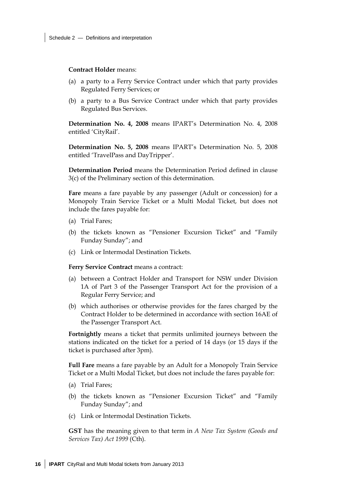**Contract Holder** means:

- (a) a party to a Ferry Service Contract under which that party provides Regulated Ferry Services; or
- (b) a party to a Bus Service Contract under which that party provides Regulated Bus Services.

**Determination No. 4, 2008** means IPART's Determination No. 4, 2008 entitled 'CityRail'.

**Determination No. 5, 2008** means IPART's Determination No. 5, 2008 entitled 'TravelPass and DayTripper'.

**Determination Period** means the Determination Period defined in clause 3(c) of the Preliminary section of this determination.

**Fare** means a fare payable by any passenger (Adult or concession) for a Monopoly Train Service Ticket or a Multi Modal Ticket, but does not include the fares payable for:

- (a) Trial Fares;
- (b) the tickets known as "Pensioner Excursion Ticket" and "Family Funday Sunday"; and
- (c) Link or Intermodal Destination Tickets.

**Ferry Service Contract** means a contract:

- (a) between a Contract Holder and Transport for NSW under Division 1A of Part 3 of the Passenger Transport Act for the provision of a Regular Ferry Service; and
- (b) which authorises or otherwise provides for the fares charged by the Contract Holder to be determined in accordance with section 16AE of the Passenger Transport Act.

**Fortnightly** means a ticket that permits unlimited journeys between the stations indicated on the ticket for a period of 14 days (or 15 days if the ticket is purchased after 3pm).

**Full Fare** means a fare payable by an Adult for a Monopoly Train Service Ticket or a Multi Modal Ticket, but does not include the fares payable for:

- (a) Trial Fares;
- (b) the tickets known as "Pensioner Excursion Ticket" and "Family Funday Sunday"; and
- (c) Link or Intermodal Destination Tickets.

**GST** has the meaning given to that term in *A New Tax System (Goods and Services Tax) Act 1999* (Cth).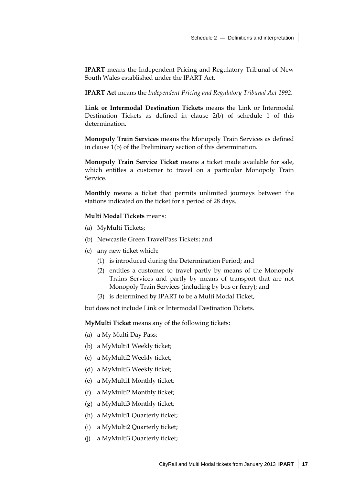**IPART** means the Independent Pricing and Regulatory Tribunal of New South Wales established under the IPART Act.

**IPART Act** means the *Independent Pricing and Regulatory Tribunal Act 1992*.

**Link or Intermodal Destination Tickets** means the Link or Intermodal Destination Tickets as defined in clause 2(b) of schedule 1 of this determination.

**Monopoly Train Services** means the Monopoly Train Services as defined in clause 1(b) of the Preliminary section of this determination.

**Monopoly Train Service Ticket** means a ticket made available for sale, which entitles a customer to travel on a particular Monopoly Train Service.

**Monthly** means a ticket that permits unlimited journeys between the stations indicated on the ticket for a period of 28 days.

#### **Multi Modal Tickets** means:

- (a) MyMulti Tickets;
- (b) Newcastle Green TravelPass Tickets; and
- (c) any new ticket which:
	- (1) is introduced during the Determination Period; and
	- (2) entitles a customer to travel partly by means of the Monopoly Trains Services and partly by means of transport that are not Monopoly Train Services (including by bus or ferry); and
	- (3) is determined by IPART to be a Multi Modal Ticket,

but does not include Link or Intermodal Destination Tickets.

**MyMulti Ticket** means any of the following tickets:

- (a) a My Multi Day Pass;
- (b) a MyMulti1 Weekly ticket;
- (c) a MyMulti2 Weekly ticket;
- (d) a MyMulti3 Weekly ticket;
- (e) a MyMulti1 Monthly ticket;
- (f) a MyMulti2 Monthly ticket;
- (g) a MyMulti3 Monthly ticket;
- (h) a MyMulti1 Quarterly ticket;
- (i) a MyMulti2 Quarterly ticket;
- (j) a MyMulti3 Quarterly ticket;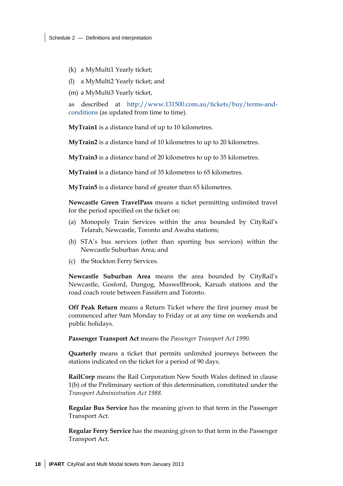- (k) a MyMulti1 Yearly ticket;
- (l) a MyMulti2 Yearly ticket; and

(m) a MyMulti3 Yearly ticket,

as described at http://www.131500.com.au/tickets/buy/terms-andconditions (as updated from time to time).

**MyTrain1** is a distance band of up to 10 kilometres.

**MyTrain2** is a distance band of 10 kilometres to up to 20 kilometres.

**MyTrain3** is a distance band of 20 kilometres to up to 35 kilometres.

**MyTrain4** is a distance band of 35 kilometres to 65 kilometres.

**MyTrain5** is a distance band of greater than 65 kilometres.

**Newcastle Green TravelPass** means a ticket permitting unlimited travel for the period specified on the ticket on:

- (a) Monopoly Train Services within the area bounded by CityRail's Telarah, Newcastle, Toronto and Awaba stations;
- (b) STA's bus services (other than sporting bus services) within the Newcastle Suburban Area; and
- (c) the Stockton Ferry Services.

**Newcastle Suburban Area** means the area bounded by CityRail's Newcastle, Gosford, Dungog, Muswellbrook, Karuah stations and the road coach route between Fassifern and Toronto.

**Off Peak Return** means a Return Ticket where the first journey must be commenced after 9am Monday to Friday or at any time on weekends and public holidays.

**Passenger Transport Act** means the *Passenger Transport Act 1990.* 

**Quarterly** means a ticket that permits unlimited journeys between the stations indicated on the ticket for a period of 90 days.

**RailCorp** means the Rail Corporation New South Wales defined in clause 1(b) of the Preliminary section of this determination, constituted under the *Transport Administration Act 1988.* 

**Regular Bus Service** has the meaning given to that term in the Passenger Transport Act.

**Regular Ferry Service** has the meaning given to that term in the Passenger Transport Act.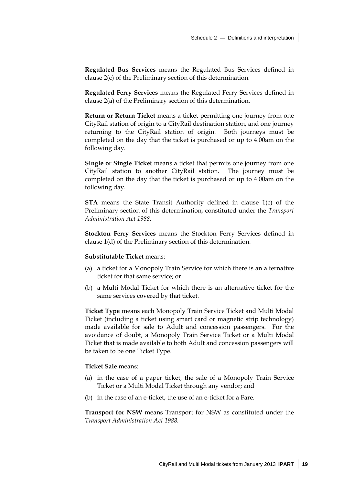**Regulated Bus Services** means the Regulated Bus Services defined in clause 2(c) of the Preliminary section of this determination.

**Regulated Ferry Services** means the Regulated Ferry Services defined in clause 2(a) of the Preliminary section of this determination.

**Return or Return Ticket** means a ticket permitting one journey from one CityRail station of origin to a CityRail destination station, and one journey returning to the CityRail station of origin. Both journeys must be completed on the day that the ticket is purchased or up to 4.00am on the following day.

**Single or Single Ticket** means a ticket that permits one journey from one CityRail station to another CityRail station. The journey must be completed on the day that the ticket is purchased or up to 4.00am on the following day.

**STA** means the State Transit Authority defined in clause 1(c) of the Preliminary section of this determination, constituted under the *Transport Administration Act 1988*.

**Stockton Ferry Services** means the Stockton Ferry Services defined in clause 1(d) of the Preliminary section of this determination.

#### **Substitutable Ticket** means:

- (a) a ticket for a Monopoly Train Service for which there is an alternative ticket for that same service; or
- (b) a Multi Modal Ticket for which there is an alternative ticket for the same services covered by that ticket.

**Ticket Type** means each Monopoly Train Service Ticket and Multi Modal Ticket (including a ticket using smart card or magnetic strip technology) made available for sale to Adult and concession passengers. For the avoidance of doubt, a Monopoly Train Service Ticket or a Multi Modal Ticket that is made available to both Adult and concession passengers will be taken to be one Ticket Type.

#### **Ticket Sale** means:

- (a) in the case of a paper ticket, the sale of a Monopoly Train Service Ticket or a Multi Modal Ticket through any vendor; and
- (b) in the case of an e-ticket, the use of an e-ticket for a Fare.

**Transport for NSW** means Transport for NSW as constituted under the *Transport Administration Act 1988*.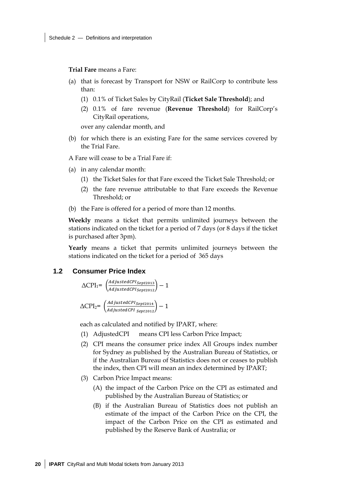**Trial Fare** means a Fare:

- (a) that is forecast by Transport for NSW or RailCorp to contribute less than:
	- (1) 0.1% of Ticket Sales by CityRail (**Ticket Sale Threshold**); and
	- (2) 0.1% of fare revenue (**Revenue Threshold**) for RailCorp's CityRail operations,

over any calendar month, and

(b) for which there is an existing Fare for the same services covered by the Trial Fare.

A Fare will cease to be a Trial Fare if:

- (a) in any calendar month:
	- (1) the Ticket Sales for that Fare exceed the Ticket Sale Threshold; or
	- (2) the fare revenue attributable to that Fare exceeds the Revenue Threshold; or
- (b) the Fare is offered for a period of more than 12 months.

**Weekly** means a ticket that permits unlimited journeys between the stations indicated on the ticket for a period of 7 days (or 8 days if the ticket is purchased after 3pm).

**Yearly** means a ticket that permits unlimited journeys between the stations indicated on the ticket for a period of 365 days

#### **1.2 Consumer Price Index**

$$
\Delta \text{CPI}_1 = \left(\frac{adjustedCPI_{Sept2013}}{adjustedCPI_{Sept2012}}\right) - 1
$$

$$
\Delta \text{CPI}_2 = \left(\frac{adjustedCPI_{Sept2014}}{adjustedCPI_{ sept2012}}\right) - 1
$$

each as calculated and notified by IPART, where:

- (1) AdjustedCPI means CPI less Carbon Price Impact;
- (2) CPI means the consumer price index All Groups index number for Sydney as published by the Australian Bureau of Statistics, or if the Australian Bureau of Statistics does not or ceases to publish the index, then CPI will mean an index determined by IPART;
- (3) Carbon Price Impact means:
	- (A) the impact of the Carbon Price on the CPI as estimated and published by the Australian Bureau of Statistics; or
	- (B) if the Australian Bureau of Statistics does not publish an estimate of the impact of the Carbon Price on the CPI, the impact of the Carbon Price on the CPI as estimated and published by the Reserve Bank of Australia; or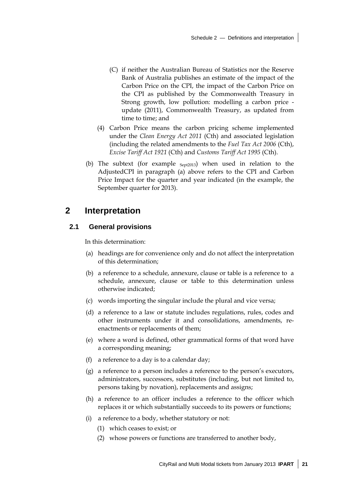- (C) if neither the Australian Bureau of Statistics nor the Reserve Bank of Australia publishes an estimate of the impact of the Carbon Price on the CPI, the impact of the Carbon Price on the CPI as published by the Commonwealth Treasury in Strong growth, low pollution: modelling a carbon price update (2011), Commonwealth Treasury, as updated from time to time; and
- (4) Carbon Price means the carbon pricing scheme implemented under the *Clean Energy Act 2011* (Cth) and associated legislation (including the related amendments to the *Fuel Tax Act 2006* (Cth), *Excise Tariff Act 1921* (Cth) and *Customs Tariff Act 1995* (Cth).
- (b) The subtext (for example  $_{Sept2013}$ ) when used in relation to the AdjustedCPI in paragraph (a) above refers to the CPI and Carbon Price Impact for the quarter and year indicated (in the example, the September quarter for 2013).

### **2 Interpretation**

#### **2.1 General provisions**

In this determination:

- (a) headings are for convenience only and do not affect the interpretation of this determination;
- (b) a reference to a schedule, annexure, clause or table is a reference to a schedule, annexure, clause or table to this determination unless otherwise indicated;
- (c) words importing the singular include the plural and vice versa;
- (d) a reference to a law or statute includes regulations, rules, codes and other instruments under it and consolidations, amendments, reenactments or replacements of them;
- (e) where a word is defined, other grammatical forms of that word have a corresponding meaning;
- (f) a reference to a day is to a calendar day;
- (g) a reference to a person includes a reference to the person's executors, administrators, successors, substitutes (including, but not limited to, persons taking by novation), replacements and assigns;
- (h) a reference to an officer includes a reference to the officer which replaces it or which substantially succeeds to its powers or functions;
- (i) a reference to a body, whether statutory or not:
	- (1) which ceases to exist; or
	- (2) whose powers or functions are transferred to another body,